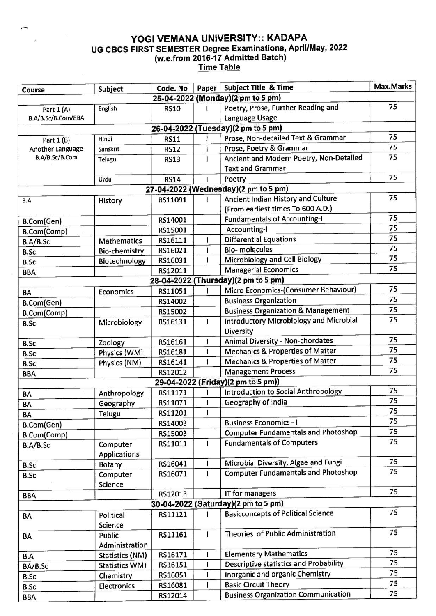## YOGI VEMANA UNIVERSITY:: KADAPA UG CBCS FIRST SEMESTER Degree Examinations, April/May, 2022 (w.e.from 2016117 Admitted Batch) Time Table

| Course                              | Subject                | Code. No    | Paper | <b>Subject Title &amp; Time</b>                | Max.Marks |  |  |  |  |
|-------------------------------------|------------------------|-------------|-------|------------------------------------------------|-----------|--|--|--|--|
| 25-04-2022 (Monday)(2 pm to 5 pm)   |                        |             |       |                                                |           |  |  |  |  |
| Part 1 (A)                          | English                | <b>RS10</b> | 1     | Poetry, Prose, Further Reading and             | 75        |  |  |  |  |
| B.A/B.Sc/B.Com/BBA                  |                        |             |       | Language Usage                                 |           |  |  |  |  |
| 26-04-2022 (Tuesday)(2 pm to 5 pm)  |                        |             |       |                                                |           |  |  |  |  |
| Part 1 (B)                          | Hindi                  | <b>RS11</b> |       | Prose, Non-detailed Text & Grammar             | 75        |  |  |  |  |
| Another Language                    | Sanskrit               | <b>RS12</b> |       | Prose, Poetry & Grammar                        | 75        |  |  |  |  |
| B.A/B.Sc/B.Com                      | Telugu                 | <b>RS13</b> | I     | Ancient and Modern Poetry, Non-Detailed        | 75        |  |  |  |  |
|                                     |                        |             |       | <b>Text and Grammar</b>                        |           |  |  |  |  |
|                                     | Urdu                   | <b>RS14</b> |       | Poetry                                         | 75        |  |  |  |  |
|                                     |                        |             |       | 27-04-2022 (Wednesday)(2 pm to 5 pm)           |           |  |  |  |  |
| B.A                                 | History                | RS11091     |       | Ancient Indian History and Culture             | 75        |  |  |  |  |
|                                     |                        |             |       | (From earliest times To 600 A.D.)              |           |  |  |  |  |
| B.Com(Gen)                          |                        | RS14001     |       | <b>Fundamentals of Accounting-I</b>            | 75        |  |  |  |  |
| B.Com(Comp)                         |                        | RS15001     |       | <b>Accounting-I</b>                            | 75        |  |  |  |  |
| B.A/B.Sc                            | <b>Mathematics</b>     | RS16111     |       | <b>Differential Equations</b>                  | 75        |  |  |  |  |
| <b>B.Sc</b>                         | <b>Bio-chemistry</b>   | RS16021     |       | <b>Bio-molecules</b>                           | 75        |  |  |  |  |
| <b>B.Sc</b>                         | Biotechnology          | RS16031     | 1     | Microbiology and Cell Biology                  | 75        |  |  |  |  |
| <b>BBA</b>                          |                        | RS12011     |       | <b>Managerial Economics</b>                    | 75        |  |  |  |  |
| 28-04-2022 (Thursday)(2 pm to 5 pm) |                        |             |       |                                                |           |  |  |  |  |
| <b>BA</b>                           | <b>Economics</b>       | RS11051     |       | Micro Economics-(Consumer Behaviour)           | 75        |  |  |  |  |
| B.Com(Gen)                          |                        | RS14002     |       | <b>Business Organization</b>                   | 75        |  |  |  |  |
| B.Com(Comp)                         |                        | RS15002     |       | <b>Business Organization &amp; Management</b>  | 75        |  |  |  |  |
| <b>B.Sc</b>                         | Microbiology           | RS16131     | I     | <b>Introductory Microbiology and Microbial</b> | 75        |  |  |  |  |
|                                     |                        |             |       | Diversity                                      |           |  |  |  |  |
| <b>B.Sc</b>                         | Zoology                | RS16161     | ı     | Animal Diversity - Non-chordates               | 75        |  |  |  |  |
| <b>B.Sc</b>                         | Physics (WM)           | RS16181     | ı     | <b>Mechanics &amp; Properties of Matter</b>    | 75        |  |  |  |  |
| <b>B.Sc</b>                         | Physics (NM)           | RS16141     |       | <b>Mechanics &amp; Properties of Matter</b>    | 75        |  |  |  |  |
| <b>BBA</b>                          |                        | RS12012     |       | <b>Management Process</b>                      | 75        |  |  |  |  |
|                                     |                        |             |       | 29-04-2022 (Friday)(2 pm to 5 pm))             |           |  |  |  |  |
| BA                                  | Anthropology           | RS11171     |       | Introduction to Social Anthropology            | 75        |  |  |  |  |
| BA                                  | Geography              | RS11071     | ı     | Geography of India                             | 75        |  |  |  |  |
| BA                                  | Telugu                 | RS11201     |       |                                                | 75        |  |  |  |  |
| B.Com(Gen)                          |                        | RS14003     |       | <b>Business Economics - I</b>                  | 75        |  |  |  |  |
| B.Com(Comp)                         |                        | RS15003     |       | <b>Computer Fundamentals and Photoshop</b>     | 75        |  |  |  |  |
| B.A/B.Sc                            | Computer               | RS11011     | L     | <b>Fundamentals of Computers</b>               | 75        |  |  |  |  |
|                                     | <b>Applications</b>    |             |       |                                                |           |  |  |  |  |
| <b>B.Sc</b>                         | Botany                 | RS16041     |       | Microbial Diversity, Algae and Fungi           | 75        |  |  |  |  |
| <b>B.Sc</b>                         | Computer               | RS16071     | 1     | <b>Computer Fundamentals and Photoshop</b>     | 75        |  |  |  |  |
|                                     | Science                |             |       |                                                |           |  |  |  |  |
| <b>BBA</b>                          |                        | RS12013     |       | IT for managers                                | 75        |  |  |  |  |
| 30-04-2022 (Saturday)(2 pm to 5 pm) |                        |             |       |                                                |           |  |  |  |  |
| BA                                  | Political              | RS11121     | ı     | <b>Basicconcepts of Political Science</b>      | 75        |  |  |  |  |
|                                     | Science                |             |       |                                                |           |  |  |  |  |
| BA                                  | Public                 | RS11161     | I     | Theories of Public Administration              | 75        |  |  |  |  |
|                                     | Administration         |             |       |                                                |           |  |  |  |  |
| B.A                                 | <b>Statistics (NM)</b> | RS16171     | ı     | <b>Elementary Mathematics</b>                  | 75        |  |  |  |  |
| BA/B.Sc                             | <b>Statistics WM)</b>  | RS16151     | 1     | <b>Descriptive statistics and Probability</b>  | 75        |  |  |  |  |
| <b>B.Sc</b>                         | Chemistry              | RS16051     | ı     | Inorganic and organic Chemistry                | 75        |  |  |  |  |
| <b>B.Sc</b>                         | Electronics            | RS16081     | T     | <b>Basic Circuit Theory</b>                    | 75        |  |  |  |  |
| <b>BBA</b>                          |                        | RS12014     |       | <b>Business Organization Communication</b>     | 75        |  |  |  |  |